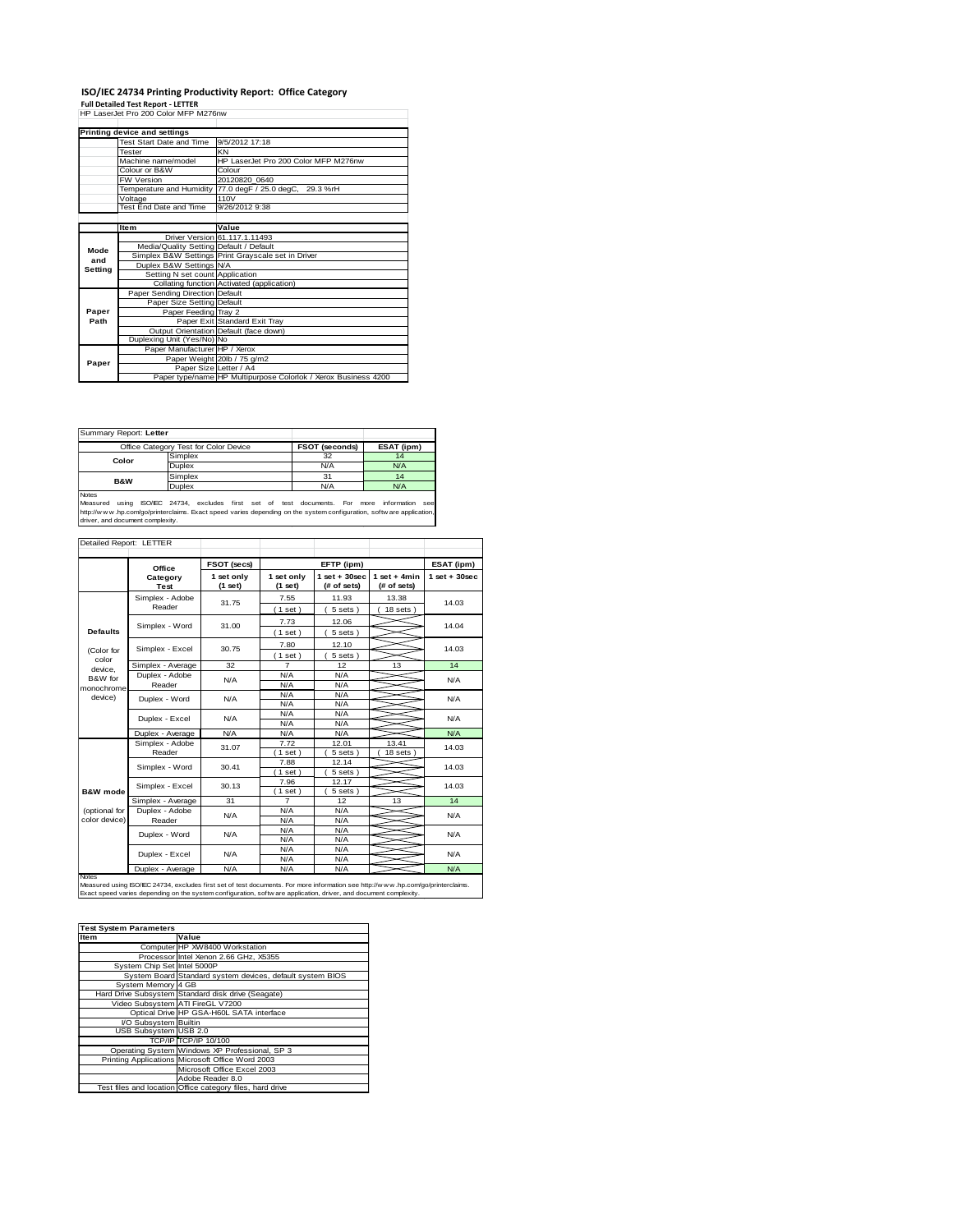## **ISO/IEC 24734 Printing Productivity Report: Office Category Full Detailed Test Report - LETTER** HP LaserJet Pro 200 Color MFP M276nw

| <b>Printing device and settings</b> |                                         |                                                                |  |  |
|-------------------------------------|-----------------------------------------|----------------------------------------------------------------|--|--|
|                                     | Test Start Date and Time                | 9/5/2012 17:18                                                 |  |  |
|                                     | Tester                                  | KN                                                             |  |  |
|                                     | Machine name/model                      | HP LaserJet Pro 200 Color MFP M276nw                           |  |  |
|                                     | Colour or B&W                           | Colour                                                         |  |  |
|                                     | <b>FW Version</b>                       | 20120820 0640                                                  |  |  |
|                                     |                                         | Temperature and Humidity 77.0 degF / 25.0 degC, 29.3 %rH       |  |  |
|                                     | Voltage                                 | 110V                                                           |  |  |
|                                     | Test End Date and Time                  | 9/26/2012 9:38                                                 |  |  |
|                                     |                                         |                                                                |  |  |
|                                     | Item                                    | Value                                                          |  |  |
|                                     |                                         | Driver Version 61, 117, 1, 11493                               |  |  |
| Mode                                | Media/Quality Setting Default / Default |                                                                |  |  |
| and                                 |                                         | Simplex B&W Settings Print Grayscale set in Driver             |  |  |
| Setting                             | Duplex B&W Settings N/A                 |                                                                |  |  |
|                                     | Setting N set count Application         |                                                                |  |  |
|                                     |                                         | Collating function Activated (application)                     |  |  |
|                                     | Paper Sending Direction Default         |                                                                |  |  |
|                                     | Paper Size Setting Default              |                                                                |  |  |
| Paper                               | Paper Feeding Tray 2                    |                                                                |  |  |
| Path                                |                                         | Paper Exit Standard Exit Tray                                  |  |  |
|                                     |                                         | Output Orientation Default (face down)                         |  |  |
|                                     | Duplexing Unit (Yes/No) No              |                                                                |  |  |
|                                     | Paper Manufacturer HP / Xerox           |                                                                |  |  |
|                                     |                                         | Paper Weight 20lb / 75 g/m2                                    |  |  |
| Paper                               | Paper Size Letter / A4                  |                                                                |  |  |
|                                     |                                         | Paper type/name HP Multipurpose Colorlok / Xerox Business 4200 |  |  |
|                                     |                                         |                                                                |  |  |

| Summary Report: Letter                                                       |         |     |     |  |
|------------------------------------------------------------------------------|---------|-----|-----|--|
| <b>FSOT (seconds)</b><br>Office Category Test for Color Device<br>ESAT (ipm) |         |     |     |  |
| Color                                                                        | Simplex | 32  | 14  |  |
|                                                                              | Duplex  | N/A | N/A |  |
| <b>B&amp;W</b>                                                               | Simplex | 31  | 14  |  |
|                                                                              | Duplex  | N/A | N/A |  |
| $1.1 - 1.1 - 1.1$                                                            |         |     |     |  |

Notes Measured using ISO/IEC 24734, excludes first set of test documents. For more information see **https://windex.com/go/printerclaims. Exact speed varies depending on the system configuration, software application**<br>https://www.wh.prom/go/printerclaims. Exact speed varies depending on the system configuration, softw ar

| Detailed Report: LETTER        |                                                                                                                                                                                                                                                       |                         |                         |                                 |                               |                    |
|--------------------------------|-------------------------------------------------------------------------------------------------------------------------------------------------------------------------------------------------------------------------------------------------------|-------------------------|-------------------------|---------------------------------|-------------------------------|--------------------|
|                                | Office                                                                                                                                                                                                                                                | <b>FSOT (secs)</b>      |                         | EFTP (ipm)                      |                               | ESAT (ipm)         |
|                                | Category<br><b>Test</b>                                                                                                                                                                                                                               | 1 set only<br>$(1$ set) | 1 set only<br>$(1$ set) | $1$ set + 30 sec<br>(# of sets) | $1$ set + 4min<br>(# of sets) | $1$ set + $30$ sec |
|                                | Simplex - Adobe<br>Reader                                                                                                                                                                                                                             | 31.75                   | 7.55<br>(1 set)         | 11.93<br>5 sets)                | 13.38<br>$18$ sets $)$        | 14.03              |
| <b>Defaults</b>                | Simplex - Word                                                                                                                                                                                                                                        | 31.00                   | 7.73<br>(1 set)         | 12.06<br>$5 sets$ )             |                               | 14.04              |
| (Color for                     | Simplex - Excel                                                                                                                                                                                                                                       | 30.75                   | 7.80<br>(1 set)         | 12.10<br>$5 sets$ )             |                               | 14.03              |
| color<br>device.               | Simplex - Average                                                                                                                                                                                                                                     | 32                      | $\overline{7}$          | 12                              | 13                            | 14                 |
| B&W for<br>monochrome          | Duplex - Adobe<br>Reader                                                                                                                                                                                                                              | N/A                     | N/A<br>N/A              | N/A<br>N/A                      |                               | N/A                |
| device)                        | Duplex - Word                                                                                                                                                                                                                                         | N/A                     | N/A<br>N/A              | N/A<br>N/A                      |                               | N/A                |
|                                | Duplex - Excel                                                                                                                                                                                                                                        | N/A                     | N/A<br>N/A              | N/A<br>N/A                      |                               | N/A                |
|                                | Duplex - Average                                                                                                                                                                                                                                      | N/A                     | N/A                     | N/A                             |                               | N/A                |
|                                | Simplex - Adobe<br>Reader                                                                                                                                                                                                                             | 31.07                   | 7.72<br>$1$ set $1$     | 12.01<br>5 sets)                | 13.41<br>18 sets              | 14.03              |
|                                | Simplex - Word                                                                                                                                                                                                                                        | 30.41                   | 7.88<br>$1$ set         | 12.14<br>5 sets)                |                               | 14.03              |
| <b>B&amp;W</b> mode            | Simplex - Excel                                                                                                                                                                                                                                       | 30.13                   | 7.96<br>$1$ set)        | 12.17<br>5 sets)                |                               | 14.03              |
|                                | Simplex - Average                                                                                                                                                                                                                                     | 31                      | $\overline{7}$          | 12                              | 13                            | 14                 |
| (optional for<br>color device) | Duplex - Adobe<br>Reader                                                                                                                                                                                                                              | N/A                     | N/A<br>N/A              | N/A<br>N/A                      |                               | N/A                |
|                                | Duplex - Word                                                                                                                                                                                                                                         | N/A                     | N/A<br>N/A              | N/A<br>N/A                      |                               | N/A                |
|                                | Duplex - Excel                                                                                                                                                                                                                                        | N/A                     | N/A<br>N/A              | N/A<br>N/A                      |                               | N/A                |
|                                | Duplex - Average                                                                                                                                                                                                                                      | N/A                     | N/A                     | N/A                             |                               | N/A                |
| <b>Notes</b>                   | Measured using ISO/IEC 24734, excludes first set of test documents. For more information see http://www.hp.com/go/printerclaims.<br>Exact speed varies depending on the system configuration, softw are application, driver, and document complexity. |                         |                         |                                 |                               |                    |

| <b>Test System Parameters</b> |                                                           |
|-------------------------------|-----------------------------------------------------------|
| Item                          | Value                                                     |
|                               | Computer HP XW8400 Workstation                            |
|                               | Processor Intel Xenon 2.66 GHz, X5355                     |
| System Chip Set Intel 5000P   |                                                           |
|                               | System Board Standard system devices, default system BIOS |
| System Memory 4 GB            |                                                           |
|                               | Hard Drive Subsystem Standard disk drive (Seagate)        |
|                               | Video Subsystem ATI FireGL V7200                          |
|                               | Optical Drive HP GSA-H60L SATA interface                  |
| I/O Subsystem Builtin         |                                                           |
| USB Subsystem USB 2.0         |                                                           |
|                               | <b>TCP/IP TCP/IP 10/100</b>                               |
|                               | Operating System Windows XP Professional, SP 3            |
|                               | Printing Applications Microsoft Office Word 2003          |
|                               | Microsoft Office Excel 2003                               |
|                               | Adobe Reader 8.0                                          |
|                               | Test files and location Office category files, hard drive |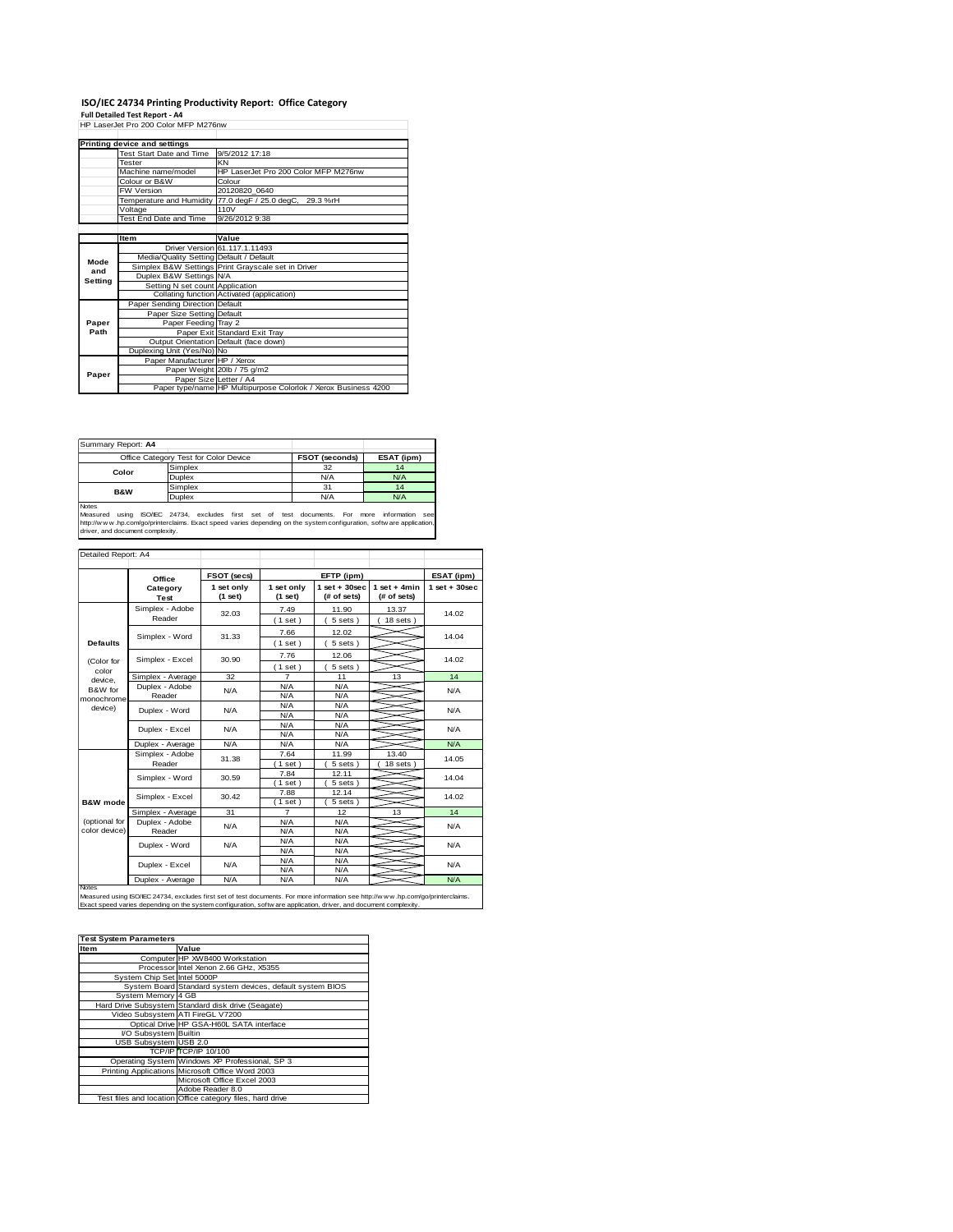## **ISO/IEC 24734 Printing Productivity Report: Office Category Full Detailed Test Report - A4** HP LaserJet Pro 200 Color MFP M276nw

| HP LaserJet Pro 200 Color MFP M276nw |                                         |                                                                |  |  |  |  |
|--------------------------------------|-----------------------------------------|----------------------------------------------------------------|--|--|--|--|
|                                      | <b>Printing device and settings</b>     |                                                                |  |  |  |  |
|                                      | Test Start Date and Time                | 9/5/2012 17:18                                                 |  |  |  |  |
|                                      | Tester                                  | KN                                                             |  |  |  |  |
|                                      | Machine name/model                      | HP LaserJet Pro 200 Color MFP M276nw                           |  |  |  |  |
|                                      | Colour or B&W                           | Colour                                                         |  |  |  |  |
|                                      | <b>FW Version</b>                       | 20120820 0640                                                  |  |  |  |  |
|                                      |                                         | Temperature and Humidity 77.0 degF / 25.0 degC, 29.3 %rH       |  |  |  |  |
|                                      | Voltage                                 | 110V                                                           |  |  |  |  |
|                                      | Test End Date and Time                  | 9/26/2012 9:38                                                 |  |  |  |  |
|                                      |                                         |                                                                |  |  |  |  |
|                                      | <b>Item</b>                             | Value                                                          |  |  |  |  |
|                                      |                                         | Driver Version 61, 117, 1, 11493                               |  |  |  |  |
| Mode                                 | Media/Quality Setting Default / Default |                                                                |  |  |  |  |
| and                                  |                                         | Simplex B&W Settings Print Grayscale set in Driver             |  |  |  |  |
| Setting                              | Duplex B&W Settings N/A                 |                                                                |  |  |  |  |
|                                      | Setting N set count Application         |                                                                |  |  |  |  |
|                                      |                                         | Collating function Activated (application)                     |  |  |  |  |
|                                      | Paper Sending Direction Default         |                                                                |  |  |  |  |
|                                      | Paper Size Setting Default              |                                                                |  |  |  |  |
| Paper                                | Paper Feeding Tray 2                    |                                                                |  |  |  |  |
| Path                                 |                                         | Paper Exit Standard Exit Tray                                  |  |  |  |  |
|                                      |                                         | Output Orientation Default (face down)                         |  |  |  |  |
|                                      | Duplexing Unit (Yes/No) No              |                                                                |  |  |  |  |
|                                      | Paper Manufacturer HP / Xerox           |                                                                |  |  |  |  |
| Paper                                |                                         | Paper Weight 20lb / 75 g/m2                                    |  |  |  |  |
|                                      | Paper Size Letter / A4                  |                                                                |  |  |  |  |
|                                      |                                         | Paper type/name HP Multipurpose Colorlok / Xerox Business 4200 |  |  |  |  |

| Summary Report: A4                                                                                                                                                                                                                                                        |                                       |                |            |  |
|---------------------------------------------------------------------------------------------------------------------------------------------------------------------------------------------------------------------------------------------------------------------------|---------------------------------------|----------------|------------|--|
|                                                                                                                                                                                                                                                                           | Office Category Test for Color Device | FSOT (seconds) | ESAT (ipm) |  |
| Color                                                                                                                                                                                                                                                                     | Simplex                               | 32             | 14         |  |
|                                                                                                                                                                                                                                                                           | Duplex                                | N/A            | N/A        |  |
| <b>B&amp;W</b>                                                                                                                                                                                                                                                            | Simplex                               | 31             | 14         |  |
|                                                                                                                                                                                                                                                                           | Duplex                                | N/A            | N/A        |  |
| Notes<br>using ISO/IEC 24734, excludes first set of test documents. For more<br>Measured<br>information<br>see<br>http://www.hp.com/go/printerclaims. Exact speed varies depending on the system configuration, software application,<br>driver, and document complexity. |                                       |                |            |  |

|                                             | Office                    | FSOT (secs)           |                         | EFTP (ipm)                      |                               | ESAT (ipm)       |
|---------------------------------------------|---------------------------|-----------------------|-------------------------|---------------------------------|-------------------------------|------------------|
|                                             | Category<br>Test          | 1 set only<br>(1 set) | 1 set only<br>$(1$ set) | $1$ set + 30 sec<br>(# of sets) | $1$ set + 4min<br>(# of sets) | $1$ set + 30 sec |
|                                             | Simplex - Adobe<br>Reader | 32.03                 | 7.49<br>$(1$ set)       | 11.90<br>5 sets)                | 13.37<br>$18$ sets $)$        | 14.02            |
| <b>Defaults</b>                             | Simplex - Word            | 31.33                 | 7.66<br>(1 set)         | 12.02<br>5 sets)                |                               | 14.04            |
| (Color for                                  | Simplex - Excel           | 30.90                 | 7.76<br>(1 set)         | 12.06<br>5 sets)                |                               | 14.02            |
| color                                       | Simplex - Average         | 32                    | $\overline{7}$          | 11                              | 13                            | 14               |
| device.<br>B&W for<br>monochrome<br>device) | Duplex - Adobe<br>Reader  | N/A                   | N/A<br>N/A              | N/A<br>N/A                      |                               | N/A              |
|                                             | Duplex - Word             | N/A                   | N/A<br>N/A              | N/A<br>N/A                      |                               | N/A              |
|                                             | Duplex - Excel            | N/A                   | N/A<br>N/A              | N/A<br>N/A                      |                               | N/A              |
|                                             | Duplex - Average          | N/A                   | N/A                     | N/A                             |                               | N/A              |
|                                             | Simplex - Adobe<br>Reader | 31.38                 | 7.64<br>(1 set)         | 11.99<br>5 sets)                | 13.40<br>$18$ sets $)$        | 14.05            |
|                                             | Simplex - Word            | 30.59                 | 7.84<br>$(1$ set)       | 12.11<br>$5 sets$ )             |                               | 14.04            |
| <b>B&amp;W</b> mode                         | Simplex - Excel           | 30.42                 | 7.88<br>(1 set)         | 12.14<br>5 sets)                |                               | 14.02            |
|                                             | Simplex - Average         | 31                    | 7                       | 12                              | 13                            | 14               |
| (optional for<br>color device)              | Duplex - Adobe<br>Reader  | N/A                   | N/A<br>N/A              | N/A<br>N/A                      |                               | N/A              |
|                                             | Duplex - Word             | N/A                   | N/A<br>N/A              | N/A<br>N/A                      |                               | N/A              |
|                                             | Duplex - Excel            | N/A                   | N/A<br>N/A              | N/A<br>N/A                      |                               | N/A              |
|                                             | Duplex - Average          | N/A                   | N/A                     | N/A                             |                               | N/A              |

| <b>Test System Parameters</b> |                                                           |
|-------------------------------|-----------------------------------------------------------|
| Item                          | Value                                                     |
|                               | Computer HP XW8400 Workstation                            |
|                               | Processor Intel Xenon 2.66 GHz, X5355                     |
| System Chip Set Intel 5000P   |                                                           |
|                               | System Board Standard system devices, default system BIOS |
| System Memory 4 GB            |                                                           |
|                               | Hard Drive Subsystem Standard disk drive (Seagate)        |
|                               | Video Subsystem ATI FireGL V7200                          |
|                               | Optical Drive HP GSA-H60L SATA interface                  |
| I/O Subsystem Builtin         |                                                           |
| USB Subsystem USB 2.0         |                                                           |
|                               | <b>TCP/IP TCP/IP 10/100</b>                               |
|                               | Operating System Windows XP Professional, SP 3            |
|                               | Printing Applications Microsoft Office Word 2003          |
|                               | Microsoft Office Excel 2003                               |
|                               | Adobe Reader 8.0                                          |
|                               | Test files and location Office category files, hard drive |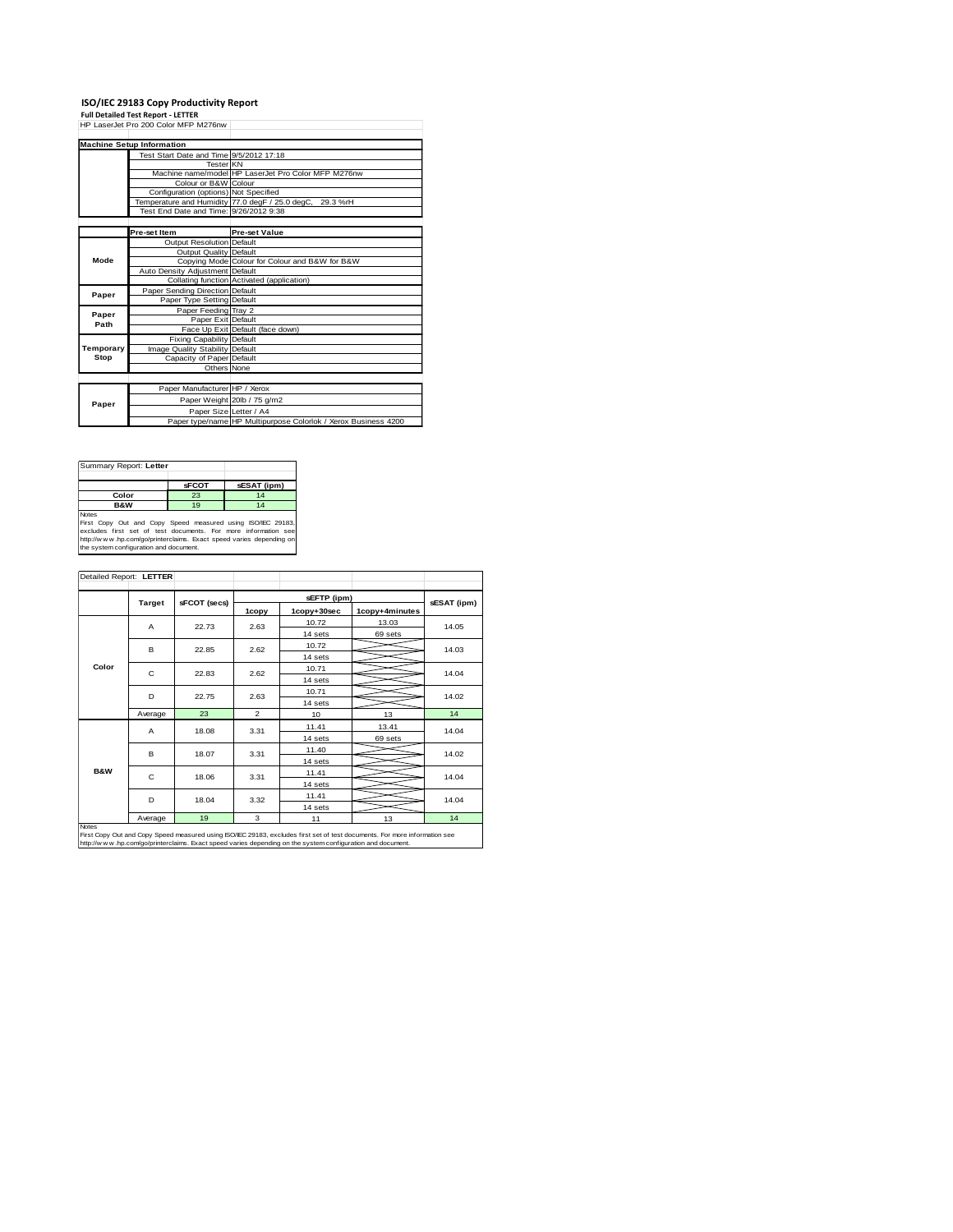**ISO/IEC 29183 Copy Productivity Report Full Detailed Test Report - LETTER** HP LaserJet Pro 200 Color MFP M276nw

|           | <b>Machine Setup Information</b>                |                                                                |  |  |
|-----------|-------------------------------------------------|----------------------------------------------------------------|--|--|
|           | Test Start Date and Time 9/5/2012 17:18         |                                                                |  |  |
|           | <b>Tester KN</b>                                |                                                                |  |  |
|           |                                                 | Machine name/model HP LaserJet Pro Color MFP M276nw            |  |  |
|           | Colour or B&W Colour                            |                                                                |  |  |
|           | Configuration (options) Not Specified           |                                                                |  |  |
|           | Temperature and Humidity 77.0 degF / 25.0 degC, | 29.3 %rH                                                       |  |  |
|           | Test End Date and Time: 9/26/2012 9:38          |                                                                |  |  |
|           |                                                 |                                                                |  |  |
|           | Pre-set Item                                    | <b>Pre-set Value</b>                                           |  |  |
|           | <b>Output Resolution Default</b>                |                                                                |  |  |
|           | Output Quality Default                          |                                                                |  |  |
| Mode      |                                                 | Copying Mode Colour for Colour and B&W for B&W                 |  |  |
|           | Auto Density Adjustment Default                 |                                                                |  |  |
|           |                                                 | Collating function Activated (application)                     |  |  |
| Paper     | Paper Sending Direction Default                 |                                                                |  |  |
|           | Paper Type Setting Default                      |                                                                |  |  |
| Paper     | Paper Feeding Tray 2                            |                                                                |  |  |
| Path      | Paper Exit Default                              |                                                                |  |  |
|           |                                                 | Face Up Exit Default (face down)                               |  |  |
|           | <b>Fixing Capability Default</b>                |                                                                |  |  |
| Temporary | Image Quality Stability Default                 |                                                                |  |  |
| Stop      | Capacity of Paper Default                       |                                                                |  |  |
|           | Others None                                     |                                                                |  |  |
|           |                                                 |                                                                |  |  |
|           | Paper Manufacturer HP / Xerox                   |                                                                |  |  |
| Paper     |                                                 | Paper Weight 20lb / 75 g/m2                                    |  |  |
|           |                                                 | Paper Size Letter / A4                                         |  |  |
|           |                                                 | Paper type/name HP Multipurpose Colorlok / Xerox Business 4200 |  |  |

| Summary Report: Letter                                                                                                                                                                                                                                         |              |             |  |  |
|----------------------------------------------------------------------------------------------------------------------------------------------------------------------------------------------------------------------------------------------------------------|--------------|-------------|--|--|
|                                                                                                                                                                                                                                                                | <b>sFCOT</b> | sESAT (ipm) |  |  |
| Color<br>23<br>14                                                                                                                                                                                                                                              |              |             |  |  |
| <b>B&amp;W</b>                                                                                                                                                                                                                                                 | 19           | 14          |  |  |
| <b>Notes</b><br>First Copy Out and Copy Speed measured using ISO/IEC 29183,<br>excludes first set of test documents. For more information see<br>http://www.hp.com/go/printerclaims. Exact speed varies depending on<br>the system configuration and document. |              |             |  |  |

| Detailed Report: LETTER                                                                                                                                                                                                                           |               |              |                |             |                |             |
|---------------------------------------------------------------------------------------------------------------------------------------------------------------------------------------------------------------------------------------------------|---------------|--------------|----------------|-------------|----------------|-------------|
|                                                                                                                                                                                                                                                   | <b>Target</b> | sFCOT (secs) | sEFTP (ipm)    |             |                | sESAT (ipm) |
|                                                                                                                                                                                                                                                   |               |              | 1copy          | 1copy+30sec | 1copy+4minutes |             |
|                                                                                                                                                                                                                                                   | A             | 22.73        | 2.63           | 10.72       | 13.03          | 14.05       |
|                                                                                                                                                                                                                                                   |               |              |                | 14 sets     | 69 sets        |             |
|                                                                                                                                                                                                                                                   | B.            | 22.85        | 2.62           | 10.72       |                | 14.03       |
|                                                                                                                                                                                                                                                   |               |              |                | 14 sets     |                |             |
| Color                                                                                                                                                                                                                                             | C.            | 22.83        | 2.62           | 10.71       |                | 14.04       |
|                                                                                                                                                                                                                                                   |               |              |                | 14 sets     |                |             |
|                                                                                                                                                                                                                                                   | D             | 22.75        | 2.63           | 10.71       |                | 14.02       |
|                                                                                                                                                                                                                                                   |               |              |                | 14 sets     |                |             |
|                                                                                                                                                                                                                                                   | Average       | 23           | $\overline{2}$ | 10          | 13             | 14          |
|                                                                                                                                                                                                                                                   | A             | 18.08        | 3.31           | 11.41       | 13.41          | 14.04       |
|                                                                                                                                                                                                                                                   |               |              |                | 14 sets     | 69 sets        |             |
|                                                                                                                                                                                                                                                   | в             | 18.07        | 3.31           | 11.40       |                | 14.02       |
|                                                                                                                                                                                                                                                   |               |              |                | 14 sets     |                |             |
| <b>B&amp;W</b>                                                                                                                                                                                                                                    | C             | 18.06        | 3.31           | 11.41       |                | 14.04       |
|                                                                                                                                                                                                                                                   |               |              |                | 14 sets     |                |             |
|                                                                                                                                                                                                                                                   | D             | 18.04        | 3.32           | 11.41       |                | 14.04       |
|                                                                                                                                                                                                                                                   |               |              |                | 14 sets     |                |             |
|                                                                                                                                                                                                                                                   | Average       | 19           | 3              | 11          | 13             | 14          |
| Notes<br>First Copy Out and Copy Speed measured using ISO/IEC 29183, excludes first set of test documents. For more information see<br>http://www.hp.com/go/printerclaims. Exact speed varies depending on the system configuration and document. |               |              |                |             |                |             |